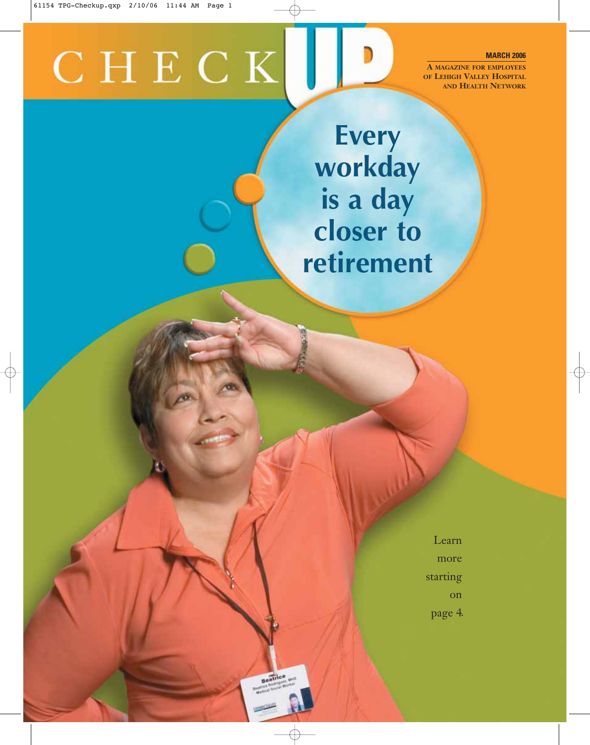# CHECK

**MARCH 2006**

**A MAGAZINE FOR EMPLOYEES OF LEHIGH VALLEY HOSPITAL AND HEALTH NETWORK**

**Every workday is a day closer to retirement**

> Learn more starting on

page 4.

Beatrice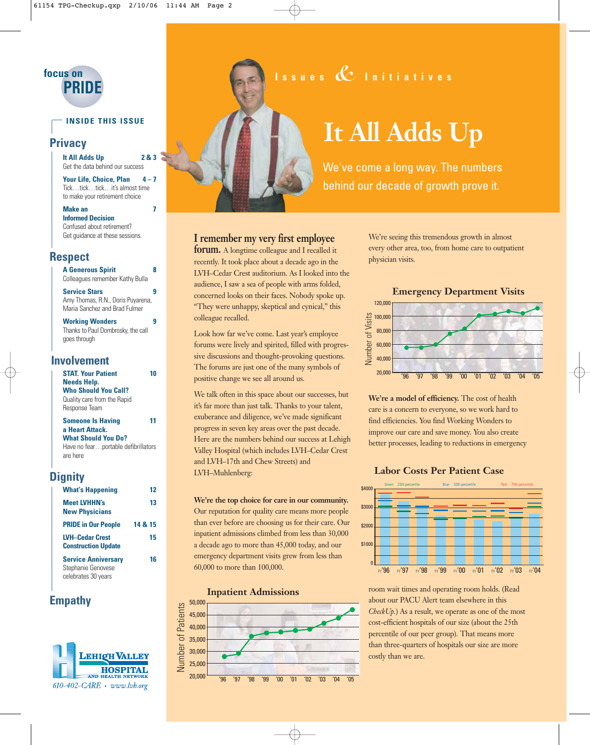

#### **INSIDE THIS ISSUE**

#### **Privacy**

**It All Adds Up 2 & 3** Get the data behind our success

Your Life, Choice, Plan 4-7 Tick…tick…tick…it's almost time to make your retirement choice

**Make an 7 Informed Decision** 

Confused about retirement? Get guidance at these sessions.

#### **Respect**

**A Generous Spirit 8** Colleagues remember Kathy Bulla **Service Stars 9**

Amy Thomas, R.N., Doris Puyarena, Maria Sanchez and Brad Fulmer

**Working Wonders 9** Thanks to Paul Dombrosky, the call goes through

#### **Involvement**

| <b>STAT Your Patient</b>            |    |
|-------------------------------------|----|
| <b>Needs Help.</b>                  |    |
| <b>Who Should You Call?</b>         |    |
| Quality care from the Rapid         |    |
| Response Team                       |    |
| <b>Someone Is Having</b>            | 11 |
| a Heart Attack.                     |    |
| <b>What Should You Do?</b>          |    |
| Have no fearportable defibrillators |    |

are here

#### **Dignity**

| <b>What's Happening</b>                                                 | 12      |
|-------------------------------------------------------------------------|---------|
| <b>Meet LVHHN's</b><br><b>New Physicians</b>                            | 13      |
| <b>PRIDE in Our People</b>                                              | 14 & 15 |
| <b>LVH-Cedar Crest</b><br><b>Construction Update</b>                    | 15      |
| <b>Service Anniversary</b><br>Stephanie Genovese<br>celebrates 30 years | 16      |

#### **Empathy**





# **It All Adds Up**

We've come a long way. The numbers behind our decade of growth prove it.

#### **I remember my very first employee**

**forum.** A longtime colleague and I recalled it recently. It took place about a decade ago in the LVH–Cedar Crest auditorium. As I looked into the audience, I saw a sea of people with arms folded, concerned looks on their faces. Nobody spoke up. "They were unhappy, skeptical and cynical," this colleague recalled.

Look how far we've come. Last year's employee forums were lively and spirited, filled with progressive discussions and thought-provoking questions. The forums are just one of the many symbols of positive change we see all around us.

We talk often in this space about our successes, but it's far more than just talk. Thanks to your talent, exuberance and diligence, we've made significant progress in seven key areas over the past decade. Here are the numbers behind our success at Lehigh Valley Hospital (which includes LVH–Cedar Crest and LVH–17th and Chew Streets) and LVH–Muhlenberg:

**We're the top choice for care in our community.** Our reputation for quality care means more people than ever before are choosing us for their care. Our inpatient admissions climbed from less than 30,000 a decade ago to more than 45,000 today, and our emergency department visits grew from less than 60,000 to more than 100,000.

**Inpatient Admissions Inpatient Admissions**



We're seeing this tremendous growth in almost every other area, too, from home care to outpatient physician visits.

#### **Emergency Department Visits Emergency Department Visits**



**We're a model of efficiency.** The cost of health care is a concern to everyone, so we work hard to find efficiencies. You find Working Wonders to improve our care and save money. You also create better processes, leading to reductions in emergency

#### **Labor Costs Per Patient Case Labor Costs Per Patient Case**



room wait times and operating room holds. (Read about our PACU Alert team elsewhere in this *CheckUp.*) As a result, we operate as one of the most cost-efficient hospitals of our size (about the 25th percentile of our peer group). That means more than three-quarters of hospitals our size are more costly than we are.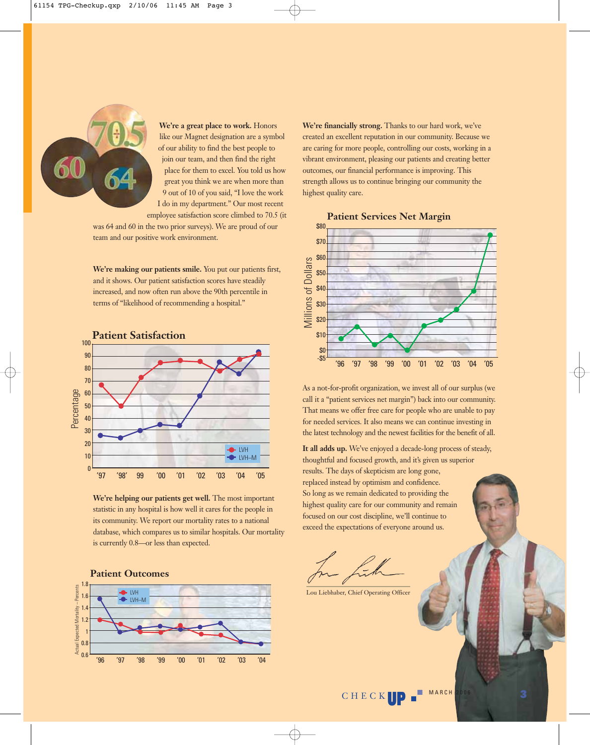

**We're a great place to work.** Honors like our Magnet designation are a symbol of our ability to find the best people to join our team, and then find the right place for them to excel. You told us how great you think we are when more than 9 out of 10 of you said, "I love the work I do in my department." Our most recent

employee satisfaction score climbed to 70.5 (it was 64 and 60 in the two prior surveys). We are proud of our team and our positive work environment.

**We're making our patients smile.** You put our patients first, and it shows. Our patient satisfaction scores have steadily increased, and now often run above the 90th percentile in terms of "likelihood of recommending a hospital."



**We're helping our patients get well.** The most important statistic in any hospital is how well it cares for the people in its community. We report our mortality rates to a national database, which compares us to similar hospitals. Our mortality is currently 0.8—or less than expected.

#### **Patient Outcomes Patient Outcomes**



**We're financially strong.** Thanks to our hard work, we've created an excellent reputation in our community. Because we are caring for more people, controlling our costs, working in a vibrant environment, pleasing our patients and creating better outcomes, our financial performance is improving. This strength allows us to continue bringing our community the highest quality care.



**Patient Services Net Margin** 

As a not-for-profit organization, we invest all of our surplus (we call it a "patient services net margin") back into our community. That means we offer free care for people who are unable to pay for needed services. It also means we can continue investing in the latest technology and the newest facilities for the benefit of all.

**It all adds up.** We've enjoyed a decade-long process of steady, thoughtful and focused growth, and it's given us superior results. The days of skepticism are long gone, replaced instead by optimism and confidence. So long as we remain dedicated to providing the highest quality care for our community and remain focused on our cost discipline, we'll continue to exceed the expectations of everyone around us.

Lou Liebhaber, Chief Operating Officer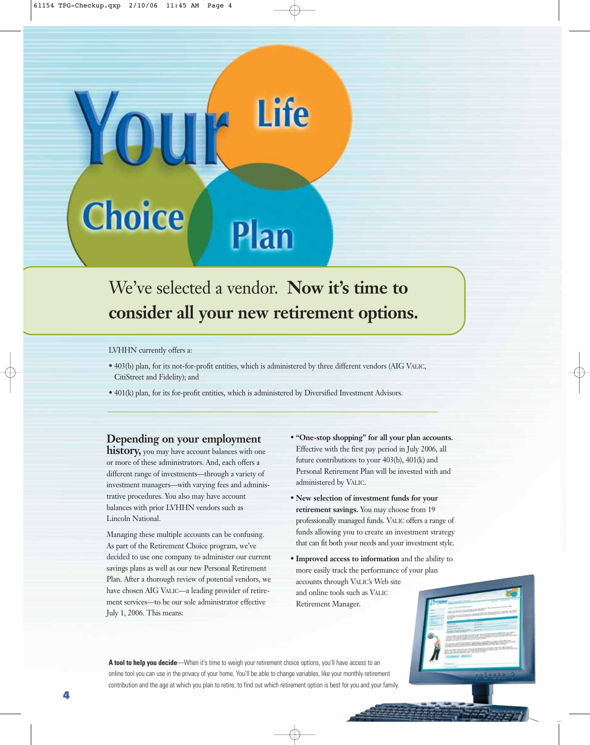# **Life** Yo **Choice** Plan

## We've selected a vendor. **Now it's time to consider all your new retirement options.**

#### LVHHN currently offers a:

- 403(b) plan, for its not-for-profit entities, which is administered by three different vendors (AIG VALIC, CitiStreet and Fidelity); and
- 401(k) plan, for its for-profit entities, which is administered by Diversified Investment Advisors.

#### **Depending on your employment**

**history**, you may have account balances with one or more of these administrators. And, each offers a different range of investments—through a variety of investment managers—with varying fees and administrative procedures. You also may have account balances with prior LVHHN vendors such as Lincoln National.

Managing these multiple accounts can be confusing. As part of the Retirement Choice program, we've decided to use one company to administer our current savings plans as well as our new Personal Retirement Plan. After a thorough review of potential vendors, we have chosen AIG VALIC—a leading provider of retirement services—to be our sole administrator effective July 1, 2006. This means:

- **"One-stop shopping" for all your plan accounts.** Effective with the first pay period in July 2006, all future contributions to your 403(b), 401(k) and Personal Retirement Plan will be invested with and administered by VALIC.
- **New selection of investment funds for your retirement savings.** You may choose from 19 professionally managed funds. VALIC offers a range of funds allowing you to create an investment strategy that can fit both your needs and your investment style.
- **Improved access to information** and the ability to more easily track the performance of your plan accounts through VALIC's Web site and online tools such as VALIC Retirement Manager.

A tool to help you decide—When it's time to weigh your retirement choice options, you'll have access to an online tool you can use in the privacy of your home. You'll be able to change variables, like your monthly retirement contribution and the age at which you plan to retire, to find out which retirement option is best for you and your family.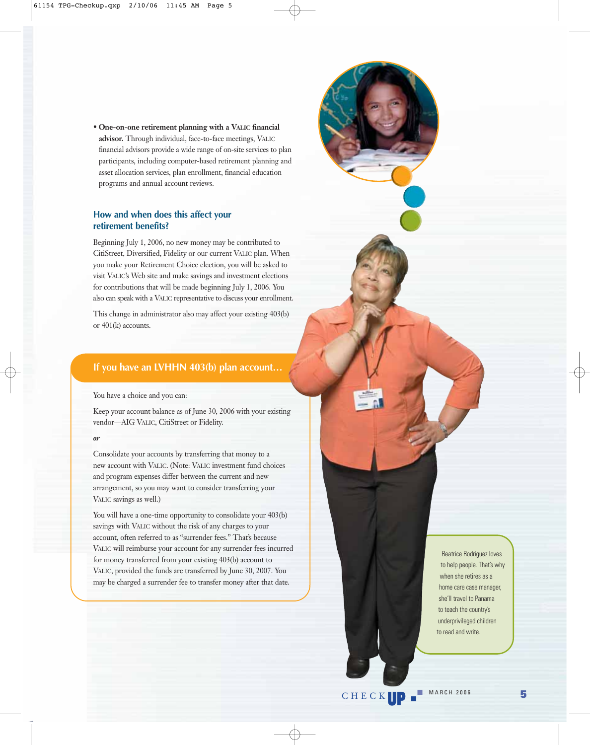• **One-on-one retirement planning with a VALIC financial advisor.** Through individual, face-to-face meetings, VALIC financial advisors provide a wide range of on-site services to plan participants, including computer-based retirement planning and asset allocation services, plan enrollment, financial education programs and annual account reviews.

#### **How and when does this affect your retirement benefits?**

Beginning July 1, 2006, no new money may be contributed to CitiStreet, Diversified, Fidelity or our current VALIC plan. When you make your Retirement Choice election, you will be asked to visit VALIC's Web site and make savings and investment elections for contributions that will be made beginning July 1, 2006. You also can speak with a VALIC representative to discuss your enrollment.

This change in administrator also may affect your existing 403(b) or 401(k) accounts.

#### **If you have an LVHHN 403(b) plan account…**

You have a choice and you can:

Keep your account balance as of June 30, 2006 with your existing vendor—AIG VALIC, CitiStreet or Fidelity.

#### *or*

Consolidate your accounts by transferring that money to a new account with VALIC. (Note: VALIC investment fund choices and program expenses differ between the current and new arrangement, so you may want to consider transferring your VALIC savings as well.)

You will have a one-time opportunity to consolidate your  $403(b)$ savings with VALIC without the risk of any charges to your account, often referred to as "surrender fees." That's because VALIC will reimburse your account for any surrender fees incurred for money transferred from your existing 403(b) account to VALIC, provided the funds are transferred by June 30, 2007. You may be charged a surrender fee to transfer money after that date.

Beatrice Rodriguez loves to help people. That's why when she retires as a home care case manager, she'll travel to Panama to teach the country's underprivileged children to read and write.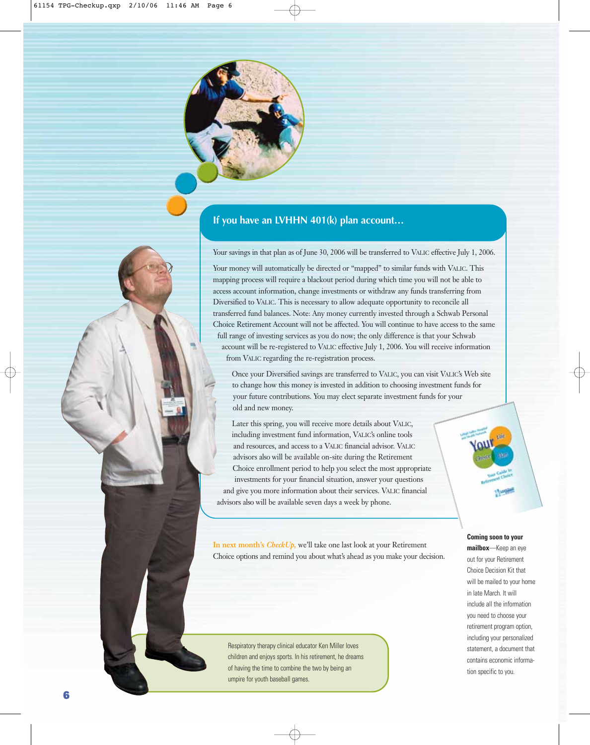

#### **If you have an LVHHN 401(k) plan account…**

Your savings in that plan as of June 30, 2006 will be transferred to VALIC effective July 1, 2006.

Your money will automatically be directed or "mapped" to similar funds with VALIC. This mapping process will require a blackout period during which time you will not be able to access account information, change investments or withdraw any funds transferring from Diversified to VALIC. This is necessary to allow adequate opportunity to reconcile all transferred fund balances. Note: Any money currently invested through a Schwab Personal Choice Retirement Account will not be affected. You will continue to have access to the same full range of investing services as you do now; the only difference is that your Schwab account will be re-registered to VALIC effective July 1, 2006. You will receive information from VALIC regarding the re-registration process.

Once your Diversified savings are transferred to VALIC, you can visit VALIC's Web site to change how this money is invested in addition to choosing investment funds for your future contributions. You may elect separate investment funds for your old and new money.

Later this spring, you will receive more details about VALIC, including investment fund information, VALIC's online tools and resources, and access to a VALIC financial advisor. VALIC advisors also will be available on-site during the Retirement Choice enrollment period to help you select the most appropriate investments for your financial situation, answer your questions and give you more information about their services. VALIC financial advisors also will be available seven days a week by phone.

**In next month's** *CheckUp,* we'll take one last look at your Retirement Choice options and remind you about what's ahead as you make your decision.

Respiratory therapy clinical educator Ken Miller loves children and enjoys sports. In his retirement, he dreams of having the time to combine the two by being an umpire for youth baseball games.

#### **Coming soon to your**

**mailbox**—Keep an eye out for your Retirement Choice Decision Kit that will be mailed to your home in late March. It will include all the information you need to choose your retirement program option, including your personalized statement, a document that contains economic information specific to you.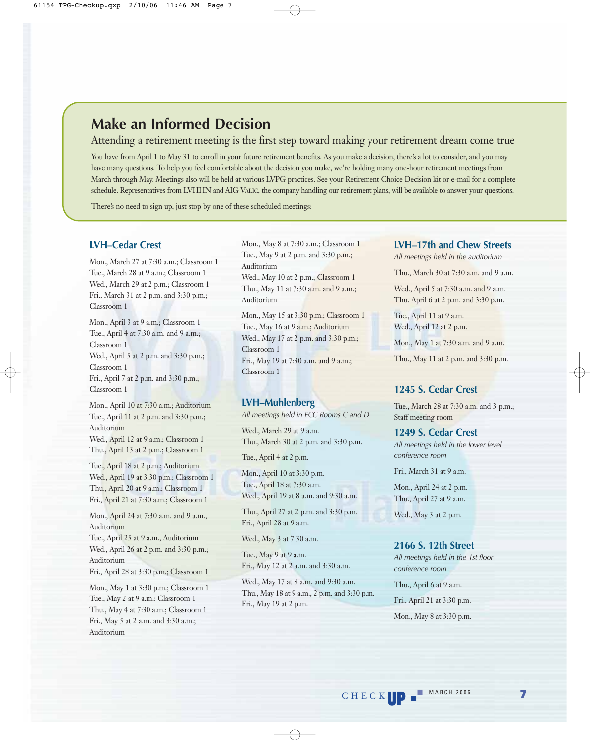### **Make an Informed Decision**

#### Attending a retirement meeting is the first step toward making your retirement dream come true

You have from April 1 to May 31 to enroll in your future retirement benefits. As you make a decision, there's a lot to consider, and you may have many questions. To help you feel comfortable about the decision you make, we're holding many one-hour retirement meetings from March through May. Meetings also will be held at various LVPG practices. See your Retirement Choice Decision kit or e-mail for a complete schedule. Representatives from LVHHN and AIG VALIC, the company handling our retirement plans, will be available to answer your questions.

There's no need to sign up, just stop by one of these scheduled meetings:

#### **LVH–Cedar Crest**

Mon., March 27 at 7:30 a.m.; Classroom 1 Tue., March 28 at 9 a.m.; Classroom 1 Wed., March 29 at 2 p.m.; Classroom 1 Fri., March 31 at 2 p.m. and 3:30 p.m.; Classroom 1

Mon., April 3 at 9 a.m.; Classroom 1 Tue., April 4 at 7:30 a.m. and 9 a.m.; Classroom 1 Wed., April 5 at 2 p.m. and 3:30 p.m.; Classroom 1 Fri., April 7 at 2 p.m. and 3:30 p.m.; Classroom 1

Mon., April 10 at 7:30 a.m.; Auditorium Tue., April 11 at 2 p.m. and 3:30 p.m.; Auditorium Wed., April 12 at 9 a.m.; Classroom 1 Thu., April 13 at 2 p.m.; Classroom 1

Tue., April 18 at 2 p.m.; Auditorium Wed., April 19 at 3:30 p.m.; Classroom 1 Thu., April 20 at 9 a.m.; Classroom 1 Fri., April 21 at 7:30 a.m.; Classroom 1

Mon., April 24 at 7:30 a.m. and 9 a.m., Auditorium

Tue., April 25 at 9 a.m., Auditorium Wed., April 26 at 2 p.m. and 3:30 p.m.; Auditorium

Fri., April 28 at 3:30 p.m.; Classroom 1

Mon., May 1 at 3:30 p.m.; Classroom 1 Tue., May 2 at 9 a.m.: Classroom 1 Thu., May 4 at 7:30 a.m.; Classroom 1 Fri., May 5 at 2 a.m. and 3:30 a.m.; Auditorium

Mon., May 8 at 7:30 a.m.; Classroom 1 Tue., May 9 at 2 p.m. and 3:30 p.m.; Auditorium Wed., May 10 at 2 p.m.; Classroom 1 Thu., May 11 at 7:30 a.m. and 9 a.m.; Auditorium

Mon., May 15 at 3:30 p.m.; Classroom 1 Tue., May 16 at 9 a.m.; Auditorium Wed., May 17 at 2 p.m. and 3:30 p.m.; Classroom 1 Fri., May 19 at 7:30 a.m. and 9 a.m.; Classroom 1

#### **LVH–Muhlenberg**

*All meetings held in ECC Rooms C and D*

Wed., March 29 at 9 a.m. Thu., March 30 at 2 p.m. and 3:30 p.m.

Tue., April 4 at 2 p.m.

Mon., April 10 at 3:30 p.m. Tue., April 18 at 7:30 a.m. Wed., April 19 at 8 a.m. and 9:30 a.m.

Thu., April 27 at 2 p.m. and 3:30 p.m. Fri., April 28 at 9 a.m.

Wed., May 3 at 7:30 a.m.

Tue., May 9 at 9 a.m. Fri., May 12 at 2 a.m. and 3:30 a.m.

Wed., May 17 at 8 a.m. and 9:30 a.m. Thu., May 18 at 9 a.m., 2 p.m. and 3:30 p.m. Fri., May 19 at 2 p.m.

#### **LVH–17th and Chew Streets**

*All meetings held in the auditorium*

Thu., March 30 at 7:30 a.m. and 9 a.m.

Wed., April 5 at 7:30 a.m. and 9 a.m. Thu. April 6 at 2 p.m. and 3:30 p.m.

Tue., April 11 at 9 a.m. Wed., April 12 at 2 p.m.

Mon., May 1 at 7:30 a.m. and 9 a.m.

Thu., May 11 at 2 p.m. and 3:30 p.m.

#### **1245 S. Cedar Crest**

Tue., March 28 at 7:30 a.m. and 3 p.m.; Staff meeting room

#### **1249 S. Cedar Crest**

*All meetings held in the lower level conference room* 

Fri., March 31 at 9 a.m.

Mon., April 24 at 2 p.m. Thu., April 27 at 9 a.m.

Wed., May 3 at 2 p.m.

**2166 S. 12th Street** *All meetings held in the 1st floor conference room* Thu., April 6 at 9 a.m. Fri., April 21 at 3:30 p.m.

Mon., May 8 at 3:30 p.m.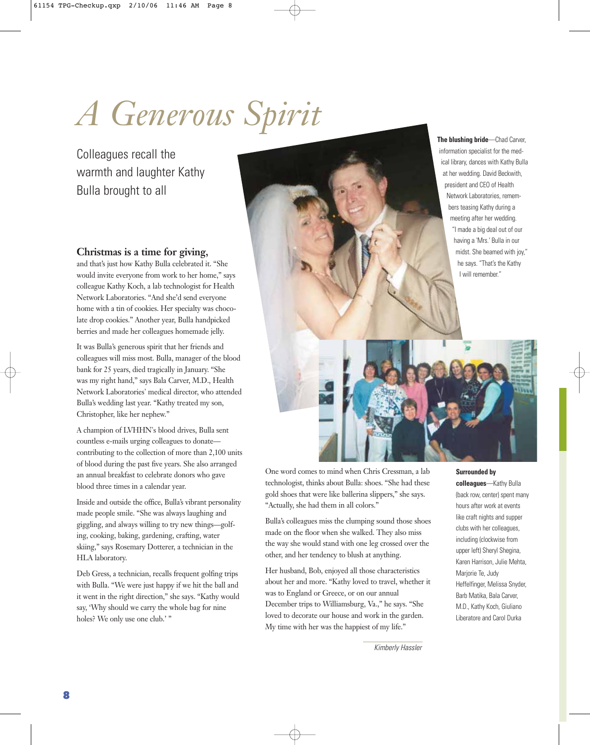# *A Generous Spirit*

Colleagues recall the warmth and laughter Kathy Bulla brought to all

**The blushing bride**—Chad Carver, information specialist for the medical library, dances with Kathy Bulla at her wedding. David Beckwith, president and CEO of Health Network Laboratories, remembers teasing Kathy during a meeting after her wedding. "I made a big deal out of our having a 'Mrs.' Bulla in our midst. She beamed with joy," he says. "That's the Kathy I will remember."

#### **Christmas is a time for giving,**

and that's just how Kathy Bulla celebrated it. "She would invite everyone from work to her home," says colleague Kathy Koch, a lab technologist for Health Network Laboratories. "And she'd send everyone home with a tin of cookies. Her specialty was chocolate drop cookies." Another year, Bulla handpicked berries and made her colleagues homemade jelly.

It was Bulla's generous spirit that her friends and colleagues will miss most. Bulla, manager of the blood bank for 25 years, died tragically in January. "She was my right hand," says Bala Carver, M.D., Health Network Laboratories' medical director, who attended Bulla's wedding last year. "Kathy treated my son, Christopher, like her nephew."

A champion of LVHHN's blood drives, Bulla sent countless e-mails urging colleagues to donate contributing to the collection of more than 2,100 units of blood during the past five years. She also arranged an annual breakfast to celebrate donors who gave blood three times in a calendar year.

Inside and outside the office, Bulla's vibrant personality made people smile. "She was always laughing and giggling, and always willing to try new things—golfing, cooking, baking, gardening, crafting, water skiing," says Rosemary Dotterer, a technician in the HLA laboratory.

Deb Gress, a technician, recalls frequent golfing trips with Bulla. "We were just happy if we hit the ball and it went in the right direction," she says. "Kathy would say, 'Why should we carry the whole bag for nine holes? We only use one club.' "

One word comes to mind when Chris Cressman, a lab technologist, thinks about Bulla: shoes. "She had these gold shoes that were like ballerina slippers," she says. "Actually, she had them in all colors."

Bulla's colleagues miss the clumping sound those shoes made on the floor when she walked. They also miss the way she would stand with one leg crossed over the other, and her tendency to blush at anything.

Her husband, Bob, enjoyed all those characteristics about her and more. "Kathy loved to travel, whether it was to England or Greece, or on our annual December trips to Williamsburg, Va.," he says. "She loved to decorate our house and work in the garden. My time with her was the happiest of my life."

**Surrounded by**

**colleagues**—Kathy Bulla (back row, center) spent many hours after work at events like craft nights and supper clubs with her colleagues, including (clockwise from upper left) Sheryl Shegina, Karen Harrison, Julie Mehta, Marjorie Te, Judy Heffelfinger, Melissa Snyder, Barb Matika, Bala Carver, M.D., Kathy Koch, Giuliano Liberatore and Carol Durka

Kimberly Hassler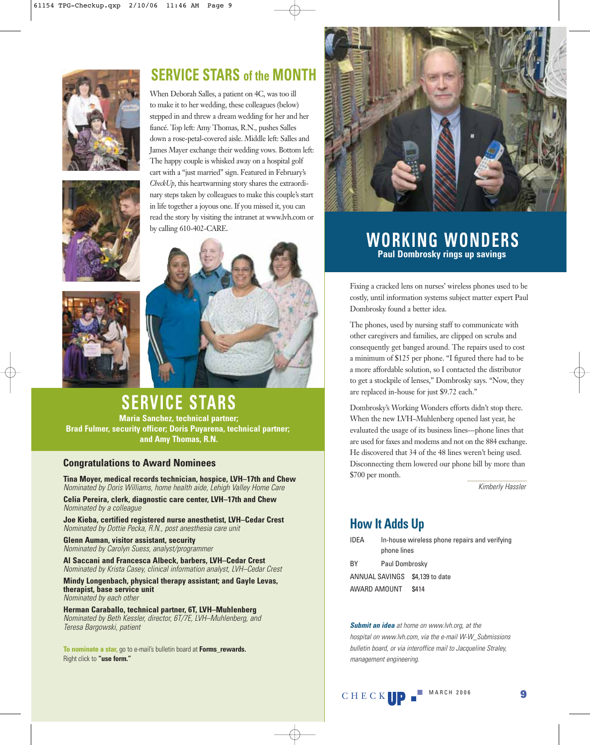

### **SERVICE STARS of the MONTH**

When Deborah Salles, a patient on 4C, was too ill to make it to her wedding, these colleagues (below) stepped in and threw a dream wedding for her and her fiancé. Top left: Amy Thomas, R.N., pushes Salles down a rose-petal-covered aisle. Middle left: Salles and James Mayer exchange their wedding vows. Bottom left: The happy couple is whisked away on a hospital golf cart with a "just married" sign. Featured in February's *CheckUp*, this heartwarming story shares the extraordinary steps taken by colleagues to make this couple's start in life together a joyous one. If you missed it, you can read the story by visiting the intranet at www.lvh.com or by calling 610-402-CARE.





# **SERVICE STARS**

**Maria Sanchez, technical partner; Brad Fulmer, security officer; Doris Puyarena, technical partner; and Amy Thomas, R.N.**

#### **Congratulations to Award Nominees**

**Tina Moyer, medical records technician, hospice, LVH–17th and Chew** Nominated by Doris Williams, home health aide, Lehigh Valley Home Care

**Celia Pereira, clerk, diagnostic care center, LVH–17th and Chew** Nominated by a colleague

**Joe Kieba, certified registered nurse anesthetist, LVH–Cedar Crest** Nominated by Dottie Pecka, R.N., post anesthesia care unit

**Glenn Auman, visitor assistant, security** Nominated by Carolyn Suess, analyst/programmer

**Al Saccani and Francesca Albeck, barbers, LVH–Cedar Crest** Nominated by Krista Casey, clinical information analyst, LVH–Cedar Crest

**Mindy Longenbach, physical therapy assistant; and Gayle Levas, therapist, base service unit** Nominated by each other

**Herman Caraballo, technical partner, 6T, LVH–Muhlenberg** Nominated by Beth Kessler, director, 6T/7E, LVH–Muhlenberg, and Teresa Bargowski, patient

**To nominate a star,** go to e-mail's bulletin board at **Forms\_rewards.** Right click to **"use form."**



### **WORKING WONDERS Paul Dombrosky rings up savings**

Fixing a cracked lens on nurses' wireless phones used to be costly, until information systems subject matter expert Paul Dombrosky found a better idea.

The phones, used by nursing staff to communicate with other caregivers and families, are clipped on scrubs and consequently get banged around. The repairs used to cost a minimum of \$125 per phone. "I figured there had to be a more affordable solution, so I contacted the distributor to get a stockpile of lenses," Dombrosky says. "Now, they are replaced in-house for just \$9.72 each."

Dombrosky's Working Wonders efforts didn't stop there. When the new LVH–Muhlenberg opened last year, he evaluated the usage of its business lines—phone lines that are used for faxes and modems and not on the 884 exchange. He discovered that 34 of the 48 lines weren't being used. Disconnecting them lowered our phone bill by more than \$700 per month.

Kimberly Hassler

### **How It Adds Up**

AWARD AMOUNT \$414

| IDEA      | In-house wireless phone repairs and verifying<br>phone lines |
|-----------|--------------------------------------------------------------|
| <b>BY</b> | Paul Dombrosky                                               |
|           | ANNUAL SAVINGS \$4,139 to date                               |

**Submit an idea** at home on www.lvh.org, at the hospital on www.lvh.com, via the e-mail W-W\_Submissions bulletin board, or via interoffice mail to Jacqueline Straley, management engineering.

**UP**  $^{\blacksquare$  MARCH 2006 **9**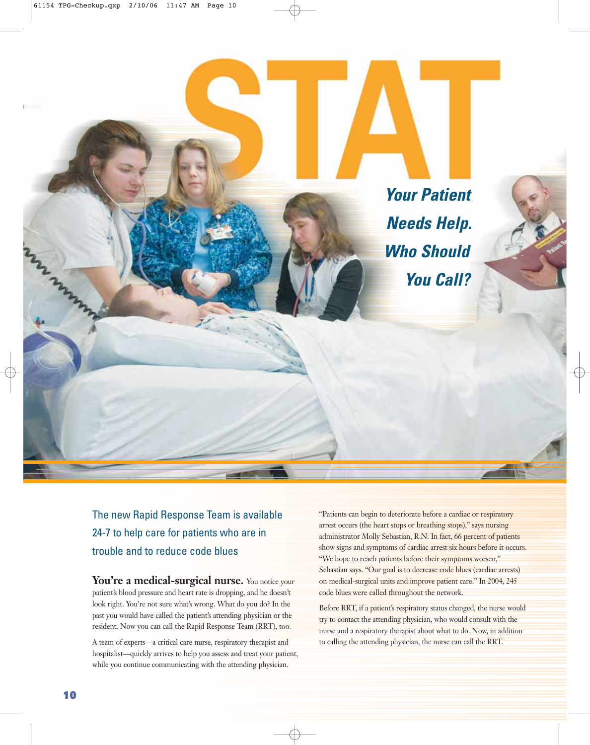

The new Rapid Response Team is available 24-7 to help care for patients who are in trouble and to reduce code blues

You're a medical-surgical nurse. You notice your patient's blood pressure and heart rate is dropping, and he doesn't look right. You're not sure what's wrong. What do you do? In the past you would have called the patient's attending physician or the resident. Now you can call the Rapid Response Team (RRT), too.

A team of experts—a critical care nurse, respiratory therapist and hospitalist—quickly arrives to help you assess and treat your patient, while you continue communicating with the attending physician.

"Patients can begin to deteriorate before a cardiac or respiratory arrest occurs (the heart stops or breathing stops)," says nursing administrator Molly Sebastian, R.N. In fact, 66 percent of patients show signs and symptoms of cardiac arrest six hours before it occurs. "We hope to reach patients before their symptoms worsen," Sebastian says. "Our goal is to decrease code blues (cardiac arrests) on medical-surgical units and improve patient care." In 2004, 245 code blues were called throughout the network.

Before RRT, if a patient's respiratory status changed, the nurse would try to contact the attending physician, who would consult with the nurse and a respiratory therapist about what to do. Now, in addition to calling the attending physician, the nurse can call the RRT.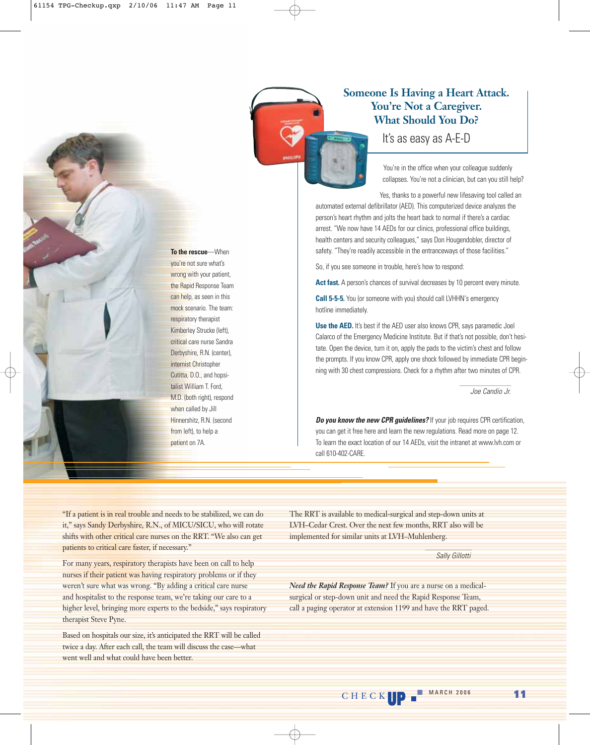

#### **Someone Is Having a Heart Attack. You're Not a Caregiver. What Should You Do?**

It's as easy as A-E-D

You're in the office when your colleague suddenly collapses. You're not a clinician, but can you still help?

Yes, thanks to a powerful new lifesaving tool called an automated external defibrillator (AED). This computerized device analyzes the person's heart rhythm and jolts the heart back to normal if there's a cardiac arrest. "We now have 14 AEDs for our clinics, professional office buildings, health centers and security colleagues," says Don Hougendobler, director of safety. "They're readily accessible in the entranceways of those facilities."

So, if you see someone in trouble, here's how to respond:

Act fast. A person's chances of survival decreases by 10 percent every minute.

**Call 5-5-5.** You (or someone with you) should call LVHHN's emergency hotline immediately.

**Use the AED.** It's best if the AED user also knows CPR, says paramedic Joel Calarco of the Emergency Medicine Institute. But if that's not possible, don't hesitate. Open the device, turn it on, apply the pads to the victim's chest and follow the prompts. If you know CPR, apply one shock followed by immediate CPR beginning with 30 chest compressions. Check for a rhythm after two minutes of CPR.

Joe Candio Jr.

**Do you know the new CPR guidelines?** If your job requires CPR certification, you can get it free here and learn the new regulations. Read more on page 12. To learn the exact location of our 14 AEDs, visit the intranet at www.lvh.com or call 610-402-CARE.

"If a patient is in real trouble and needs to be stabilized, we can do it," says Sandy Derbyshire, R.N., of MICU/SICU, who will rotate shifts with other critical care nurses on the RRT. "We also can get patients to critical care faster, if necessary."

For many years, respiratory therapists have been on call to help nurses if their patient was having respiratory problems or if they weren't sure what was wrong. "By adding a critical care nurse and hospitalist to the response team, we're taking our care to a higher level, bringing more experts to the bedside," says respiratory therapist Steve Pyne.

Based on hospitals our size, it's anticipated the RRT will be called twice a day. After each call, the team will discuss the case—what went well and what could have been better.

The RRT is available to medical-surgical and step-down units at LVH–Cedar Crest. Over the next few months, RRT also will be implemented for similar units at LVH–Muhlenberg.

Sally Gillotti

*Need the Rapid Response Team?* If you are a nurse on a medicalsurgical or step-down unit and need the Rapid Response Team, call a paging operator at extension 1199 and have the RRT paged.

wrong with your patient, the Rapid Response Team can help, as seen in this mock scenario. The team: respiratory therapist Kimberley Strucke (left),

**To the rescue**—When you're not sure what's

critical care nurse Sandra Derbyshire, R.N. (center), internist Christopher Cutitta, D.O., and hopsitalist William T. Ford, M.D. (both right), respond when called by Jill Hinnershitz, R.N. (second from left), to help a

patient on 7A.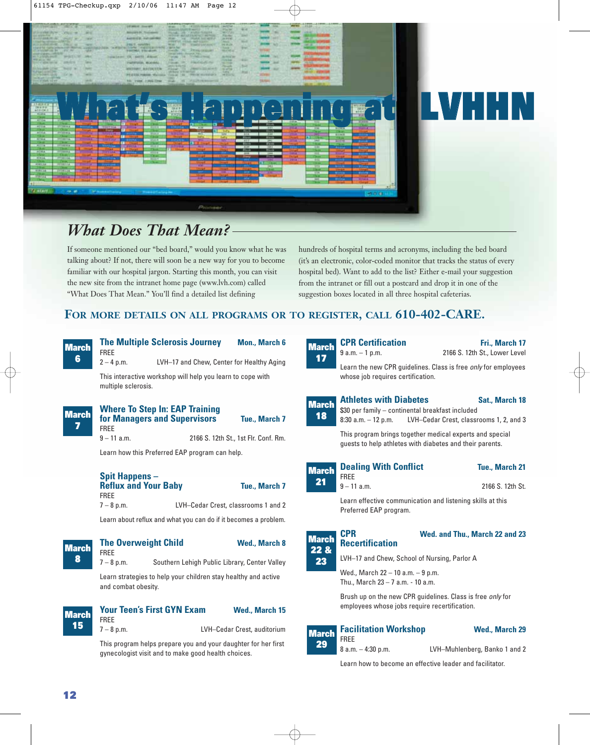

# **What's Happening at LVHHN**

## *What Does That Mean?*

If someone mentioned our "bed board," would you know what he was talking about? If not, there will soon be a new way for you to become familiar with our hospital jargon. Starting this month, you can visit the new site from the intranet home page (www.lvh.com) called "What Does That Mean." You'll find a detailed list defining

hundreds of hospital terms and acronyms, including the bed board (it's an electronic, color-coded monitor that tracks the status of every hospital bed). Want to add to the list? Either e-mail your suggestion from the intranet or fill out a postcard and drop it in one of the suggestion boxes located in all three hospital cafeterias.

#### **FOR MORE DETAILS ON ALL PROGRAMS OR TO REGISTER, CALL 610-402-CARE.**

#### **March 6**

**The Multiple Sclerosis Journey Mon., March 6** FREE

2 – 4 p.m. LVH–17 and Chew, Center for Healthy Aging

This interactive workshop will help you learn to cope with multiple sclerosis.

| <b>March</b> | <b>Where To Step In: EAP Training</b><br>for Managers and Supervisors | Tue., March 7                        | l Marc<br>18 |
|--------------|-----------------------------------------------------------------------|--------------------------------------|--------------|
|              | <b>FRFF</b><br>$9 - 11$ a.m.                                          | 2166 S. 12th St., 1st Flr. Conf. Rm. |              |
|              |                                                                       |                                      |              |

Learn how this Preferred EAP program can help.

| <b>Spit Happens –</b>       |                                     |                      |
|-----------------------------|-------------------------------------|----------------------|
| <b>Reflux and Your Baby</b> |                                     | <b>Tue., March 7</b> |
| <b>FRFF</b>                 |                                     |                      |
| $7 - 8$ p.m.                | LVH-Cedar Crest, classrooms 1 and 2 |                      |
|                             |                                     |                      |

Learn about reflux and what you can do if it becomes a problem.

#### FREE **March**

#### **The Overweight Child Wed., March 8**

7 – 8 p.m. Southern Lehigh Public Library, Center Valley

Learn strategies to help your children stay healthy and active and combat obesity.

#### **March 15**

**8**

**Your Teen's First GYN Exam Wed., March 15** FREE

7 – 8 p.m. LVH–Cedar Crest, auditorium

This program helps prepare you and your daughter for her first gynecologist visit and to make good health choices.

| March<br>17        | VI II VVILIIVULIVII<br>$9 a.m. - 1 p.m.$                                                                             | 1116 MWW<br>2166 S. 12th St., Lower Level                                     |
|--------------------|----------------------------------------------------------------------------------------------------------------------|-------------------------------------------------------------------------------|
|                    | whose job requires certification.                                                                                    | Learn the new CPR guidelines. Class is free <i>only</i> for employees         |
| <b>March</b><br>18 | <b>Athletes with Diabetes</b><br>\$30 per family – continental breakfast included                                    | Sat., March 18<br>8:30 a.m. - 12 p.m. LVH-Cedar Crest, classrooms 1, 2, and 3 |
|                    | This program brings together medical experts and special<br>quests to help athletes with diabetes and their parents. |                                                                               |
| <b>March</b><br>л. | <b>Dealing With Conflict</b><br><b>FREE</b>                                                                          | <b>Tue., March 21</b>                                                         |

**CPR Certification Fri., March 17** 

| Dealing With Commut | Tue., March ZT   |
|---------------------|------------------|
| FREE                |                  |
| 9 – 11 a.m.         | 2166 S. 12th St. |

Learn effective communication and listening skills at this Preferred EAP program.



**March 21**

#### **CPR Wed. and Thu., March 22 and 23**

LVH–17 and Chew, School of Nursing, Parlor A

Wed., March 22 – 10 a.m. – 9 p.m. Thu., March 23 – 7 a.m. - 10 a.m.

**Recertification**

Brush up on the new CPR guidelines. Class is free only for employees whose jobs require recertification.

#### **March 29**

FREE

**Facilitation Workshop Wed., March 29** 

8 a.m. – 4:30 p.m. LVH–Muhlenberg, Banko 1 and 2

Learn how to become an effective leader and facilitator.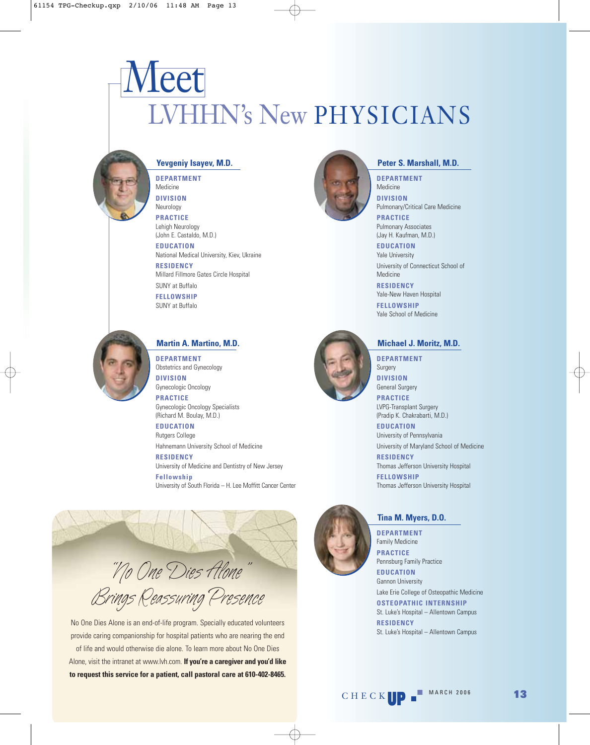# LVHHN's New PHYSICIANS Meet



#### **Yevgeniy Isayev, M.D.**

**DEPARTMENT** Medicine **DIVISION**  Neurology **PRACTICE** Lehigh Neurology

(John E. Castaldo, M.D.) **EDUCATION**

National Medical University, Kiev, Ukraine **RESIDENCY**

Millard Fillmore Gates Circle Hospital SUNY at Buffalo

**FELLOWSHIP** SUNY at Buffalo



#### **Martin A. Martino, M.D.**

**DEPARTMENT**  Obstetrics and Gynecology **DIVISION** 

Gynecologic Oncology **PRACTICE** 

Gynecologic Oncology Specialists (Richard M. Boulay, M.D.)

**EDUCATION** Rutgers College

Hahnemann University School of Medicine

**RESIDENCY** University of Medicine and Dentistry of New Jersey

**Fellowship** University of South Florida – H. Lee Moffitt Cancer Center



No One Dies Alone is an end-of-life program. Specially educated volunteers provide caring companionship for hospital patients who are nearing the end of life and would otherwise die alone. To learn more about No One Dies Alone, visit the intranet at www.lvh.com. **If you're a caregiver and you'd like to request this service for a patient, call pastoral care at 610-402-8465.**



#### **Peter S. Marshall, M.D.**

**DEPARTMENT**  Medicine **DIVISION**  Pulmonary/Critical Care Medicine

**PRACTICE**  Pulmonary Associates (Jay H. Kaufman, M.D.)

**EDUCATION**  Yale University University of Connecticut School of Medicine

**RESIDENCY** Yale-New Haven Hospital

**FELLOWSHIP** Yale School of Medicine



#### **Michael J. Moritz, M.D.**

**DEPARTMENT**  Surgery **DIVISION**  General Surgery

**PRACTICE**  LVPG-Transplant Surgery (Pradip K. Chakrabarti, M.D.)

**EDUCATION**  University of Pennsylvania

University of Maryland School of Medicine **RESIDENCY**

Thomas Jefferson University Hospital

**FELLOWSHIP** Thomas Jefferson University Hospital

#### **Tina M. Myers, D.O.**

**DEPARTMENT**  Family Medicine **PRACTICE**  Pennsburg Family Practice **EDUCATION**  Gannon University Lake Erie College of Osteopathic Medicine **OSTEOPATHIC INTERNSHIP** St. Luke's Hospital – Allentown Campus **RESIDENCY**

St. Luke's Hospital – Allentown Campus

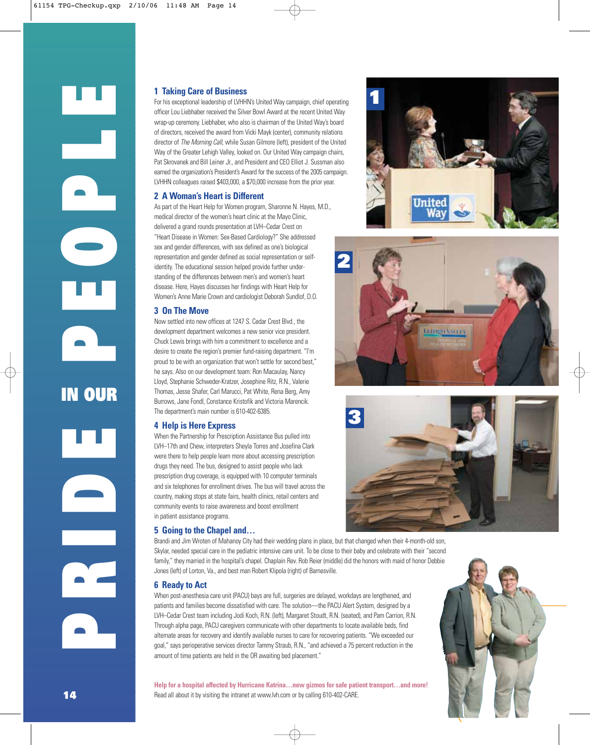IN OUR<br> **IN OUR**<br>
IN OUR **IN OUR PRIDE**

#### **1 Taking Care of Business**

For his exceptional leadership of LVHHN's United Way campaign, chief operating officer Lou Liebhaber received the Silver Bowl Award at the recent United Way wrap-up ceremony. Liebhaber, who also is chairman of the United Way's board of directors, received the award from Vicki Mayk (center), community relations director of The Morning Call, while Susan Gilmore (left), president of the United Way of the Greater Lehigh Valley, looked on, Our United Way campaign chairs, Pat Skrovanek and Bill Leiner Jr., and President and CEO Elliot J. Sussman also earned the organization's President's Award for the success of the 2005 campaign. LVHHN colleagues raised \$403,000, a \$70,000 increase from the prior year.

#### **2 A Woman's Heart is Different**

As part of the Heart Help for Women program, Sharonne N. Hayes, M.D., medical director of the women's heart clinic at the Mayo Clinic, delivered a grand rounds presentation at LVH–Cedar Crest on "Heart Disease in Women: Sex-Based Cardiology?" She addressed sex and gender differences, with sex defined as one's biological representation and gender defined as social representation or selfidentity. The educational session helped provide further understanding of the differences between men's and women's heart disease. Here, Hayes discusses her findings with Heart Help for Women's Anne Marie Crown and cardiologist Deborah Sundlof, D.O.

#### **3 On The Move**

Now settled into new offices at 1247 S. Cedar Crest Blvd., the development department welcomes a new senior vice president. Chuck Lewis brings with him a commitment to excellence and a desire to create the region's premier fund-raising department. "I'm proud to be with an organization that won't settle for second best," he says. Also on our development team: Ron Macaulay, Nancy Lloyd, Stephanie Schweder-Kratzer, Josephine Ritz, R.N., Valerie Thomas, Jesse Shafer, Carl Marucci, Pat White, Rena Berg, Amy Burrows, Jane Fondl, Constance Kristofik and Victoria Marencik. The department's main number is 610-402-6385.

#### **4 Help is Here Express**

When the Partnership for Prescription Assistance Bus pulled into LVH–17th and Chew, interpreters Sheyla Torres and Josefina Clark were there to help people learn more about accessing prescription drugs they need. The bus, designed to assist people who lack prescription drug coverage, is equipped with 10 computer terminals and six telephones for enrollment drives. The bus will travel across the country, making stops at state fairs, health clinics, retail centers and community events to raise awareness and boost enrollment in patient assistance programs.

#### **5 Going to the Chapel and…**







Brandi and Jim Wroten of Mahanoy City had their wedding plans in place, but that changed when their 4-month-old son, Skylar, needed special care in the pediatric intensive care unit. To be close to their baby and celebrate with their "second family," they married in the hospital's chapel. Chaplain Rev. Rob Reier (middle) did the honors with maid of honor Debbie Jones (left) of Lorton, Va., and best man Robert Klipola (right) of Barnesville.

#### **6 Ready to Act**

When post-anesthesia care unit (PACU) bays are full, surgeries are delayed, workdays are lengthened, and patients and families become dissatisfied with care. The solution—the PACU Alert System, designed by a LVH–Cedar Crest team including Jodi Koch, R.N. (left), Margaret Stoudt, R.N. (seated), and Pam Carrion, R.N. Through alpha page, PACU caregivers communicate with other departments to locate available beds, find alternate areas for recovery and identify available nurses to care for recovering patients. "We exceeded our goal," says perioperative services director Tammy Straub, R.N., "and achieved a 75 percent reduction in the amount of time patients are held in the OR awaiting bed placement."

**Help for a hospital affected by Hurricane Katrina…new gizmos for safe patient transport…and more!** Read all about it by visiting the intranet at www.lvh.com or by calling 610-402-CARE.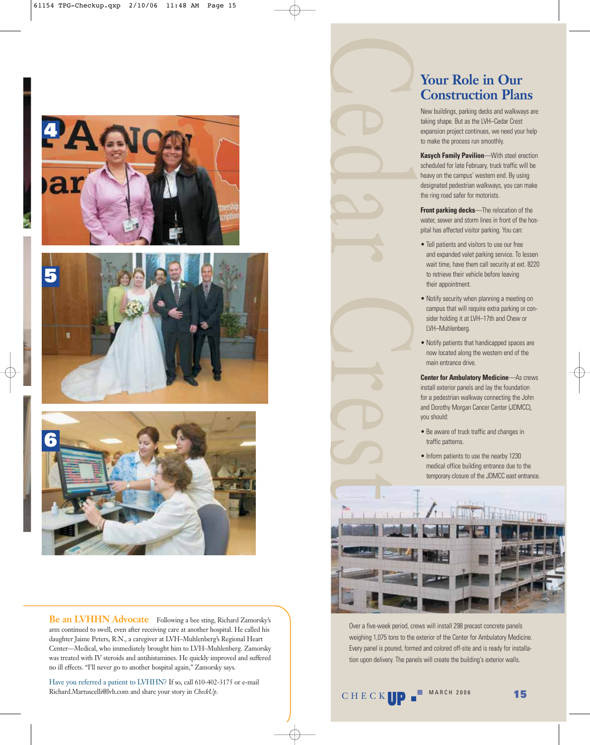





**Be an LVHHN Advocate** Following a bee sting, Richard Zamorsky's arm continued to swell, even after receiving care at another hospital. He called his daughter Jaime Peters, R.N., a caregiver at LVH–Muhlenberg's Regional Heart Center—Medical, who immediately brought him to LVH–Muhlenberg. Zamorsky was treated with IV steroids and antihistamines. He quickly improved and suffered no ill effects. "I'll never go to another hospital again," Zamorsky says.

Have you referred a patient to LVHHN? If so, call 610-402-3175 or e-mail Richard.Martuscelli@lvh.com and share your story in *CheckUp*.



#### **Your Role in Our Construction Plans**

New buildings, parking decks and walkways are taking shape. But as the LVH–Cedar Crest expansion project continues, we need your help to make the process run smoothly.

**Kasych Family Pavilion**—With steel erection scheduled for late February, truck traffic will be heavy on the campus' western end. By using designated pedestrian walkways, you can make the ring road safer for motorists.

**Front parking decks**—The relocation of the water, sewer and storm lines in front of the hospital has affected visitor parking. You can:

- Tell patients and visitors to use our free and expanded valet parking service. To lessen wait time, have them call security at ext. 8220 to retrieve their vehicle before leaving their appointment.
- Notify security when planning a meeting on campus that will require extra parking or consider holding it at LVH–17th and Chew or LVH–Muhlenberg.
- Notify patients that handicapped spaces are now located along the western end of the main entrance drive.

**Center for Ambulatory Medicine**—As crews install exterior panels and lay the foundation for a pedestrian walkway connecting the John and Dorothy Morgan Cancer Center (JDMCC), you should:

- Be aware of truck traffic and changes in traffic patterns.
- Inform patients to use the nearby 1230 medical office building entrance due to the temporary closure of the JDMCC east entrance.



Over a five-week period, crews will install 298 precast concrete panels weighing 1,075 tons to the exterior of the Center for Ambulatory Medicine. Every panel is poured, formed and colored off-site and is ready for installation upon delivery. The panels will create the building's exterior walls.

**CHECK**  $\bullet$  **15**